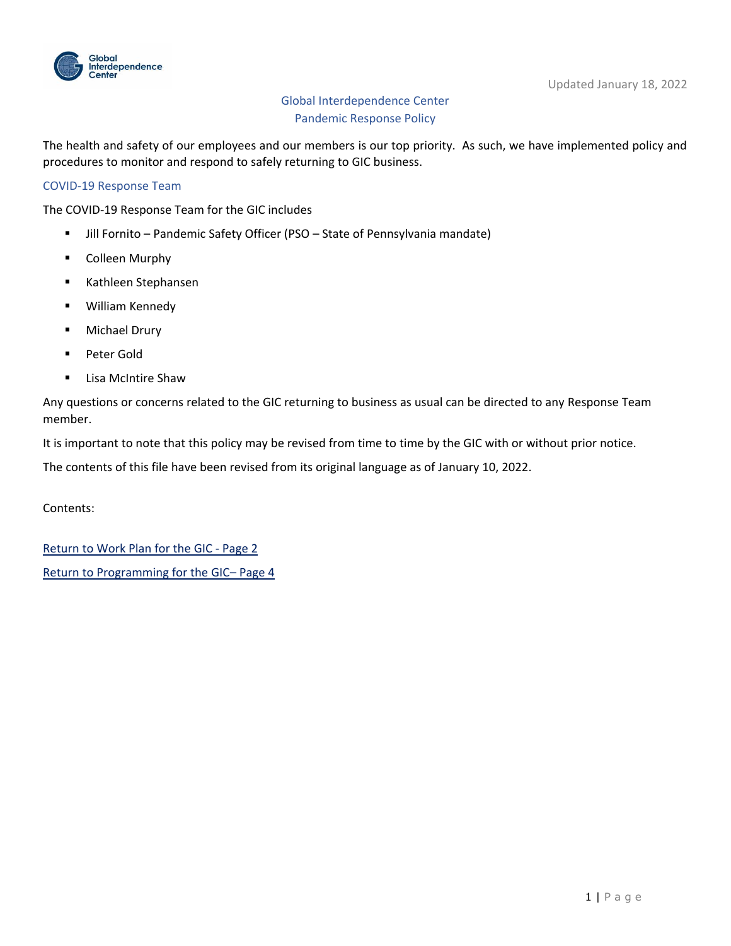

# Global Interdependence Center Pandemic Response Policy

The health and safety of our employees and our members is our top priority. As such, we have implemented policy and procedures to monitor and respond to safely returning to GIC business.

## COVID-19 Response Team

The COVID-19 Response Team for the GIC includes

- Jill Fornito Pandemic Safety Officer (PSO State of Pennsylvania mandate)
- Colleen Murphy
- Kathleen Stephansen
- William Kennedy
- Michael Drury
- Peter Gold
- Lisa McIntire Shaw

Any questions or concerns related to the GIC returning to business as usual can be directed to any Response Team member.

It is important to note that this policy may be revised from time to time by the GIC with or without prior notice.

The contents of this file have been revised from its original language as of January 10, 2022.

Contents:

[Return to Work Plan for the GIC -](#page-1-0) Page 2 [Return to Programming for the GIC](#page-3-0)– Page 4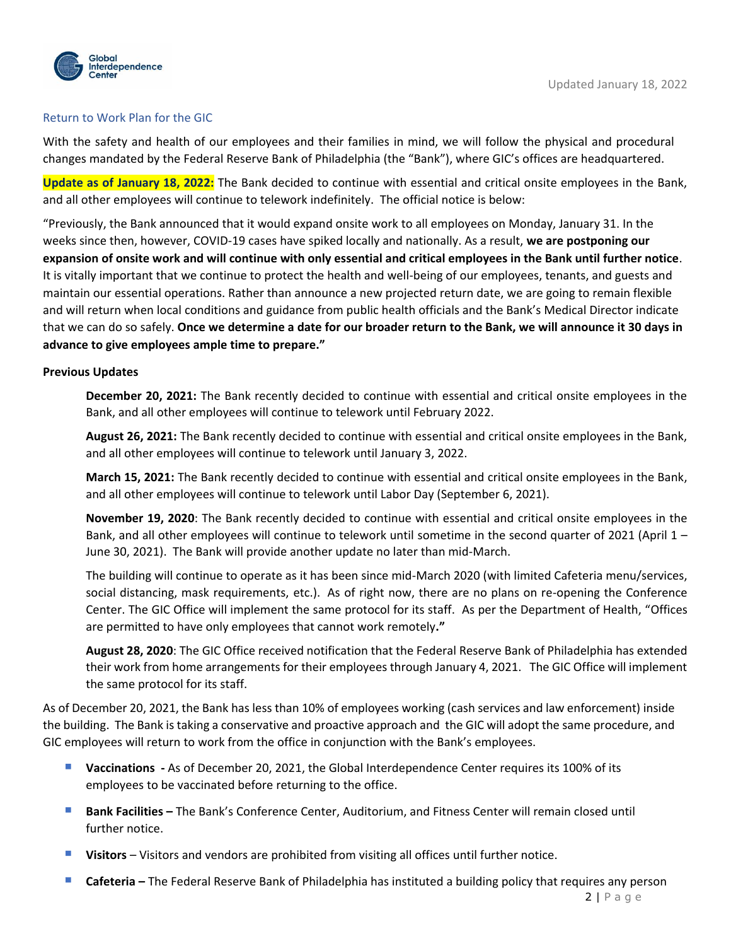

## <span id="page-1-0"></span>Return to Work Plan for the GIC

With the safety and health of our employees and their families in mind, we will follow the physical and procedural changes mandated by the Federal Reserve Bank of Philadelphia (the "Bank"), where GIC's offices are headquartered.

**Update as of January 18, 2022:** The Bank decided to continue with essential and critical onsite employees in the Bank, and all other employees will continue to telework indefinitely. The official notice is below:

"Previously, the Bank announced that it would expand onsite work to all employees on Monday, January 31. In the weeks since then, however, COVID-19 cases have spiked locally and nationally. As a result, **we are postponing our expansion of onsite work and will continue with only essential and critical employees in the Bank until further notice**. It is vitally important that we continue to protect the health and well-being of our employees, tenants, and guests and maintain our essential operations. Rather than announce a new projected return date, we are going to remain flexible and will return when local conditions and guidance from public health officials and the Bank's Medical Director indicate that we can do so safely. **Once we determine a date for our broader return to the Bank, we will announce it 30 days in advance to give employees ample time to prepare."**

### **Previous Updates**

**December 20, 2021:** The Bank recently decided to continue with essential and critical onsite employees in the Bank, and all other employees will continue to telework until February 2022.

**August 26, 2021:** The Bank recently decided to continue with essential and critical onsite employees in the Bank, and all other employees will continue to telework until January 3, 2022.

**March 15, 2021:** The Bank recently decided to continue with essential and critical onsite employees in the Bank, and all other employees will continue to telework until Labor Day (September 6, 2021).

**November 19, 2020**: The Bank recently decided to continue with essential and critical onsite employees in the Bank, and all other employees will continue to telework until sometime in the second quarter of 2021 (April 1 – June 30, 2021). The Bank will provide another update no later than mid-March.

The building will continue to operate as it has been since mid-March 2020 (with limited Cafeteria menu/services, social distancing, mask requirements, etc.). As of right now, there are no plans on re-opening the Conference Center. The GIC Office will implement the same protocol for its staff. As per the Department of Health, "Offices are permitted to have only employees that cannot work remotely**."**

**August 28, 2020**: The GIC Office received notification that the Federal Reserve Bank of Philadelphia has extended their work from home arrangements for their employees through January 4, 2021. The GIC Office will implement the same protocol for its staff.

As of December 20, 2021, the Bank has less than 10% of employees working (cash services and law enforcement) inside the building. The Bank is taking a conservative and proactive approach and the GIC will adopt the same procedure, and GIC employees will return to work from the office in conjunction with the Bank's employees.

- **U** Vaccinations As of December 20, 2021, the Global Interdependence Center requires its 100% of its employees to be vaccinated before returning to the office.
- **Bank Facilities –** The Bank's Conference Center, Auditorium, and Fitness Center will remain closed until further notice.
- **Visitors**  Visitors and vendors are prohibited from visiting all offices until further notice.
- **Cafeteria –** The Federal Reserve Bank of Philadelphia has instituted a building policy that requires any person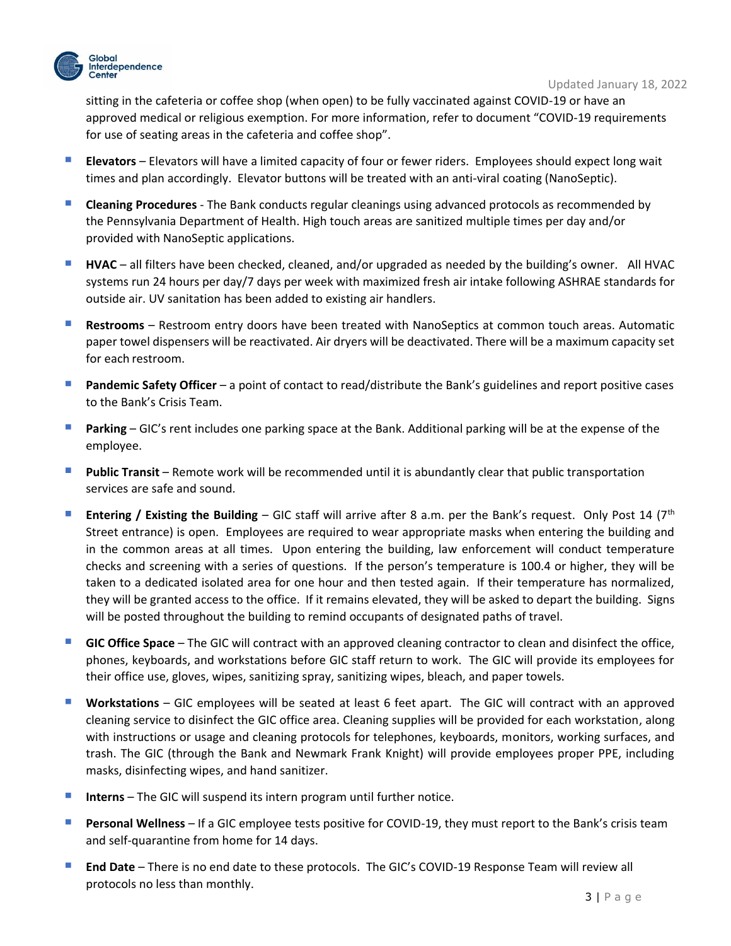

sitting in the cafeteria or coffee shop (when open) to be fully vaccinated against COVID-19 or have an approved medical or religious exemption. For more information, refer to document "COVID-19 requirements for use of seating areas in the cafeteria and coffee shop".

- **Example 2** Elevators will have a limited capacity of four or fewer riders. Employees should expect long wait times and plan accordingly. Elevator buttons will be treated with an anti-viral coating (NanoSeptic).
- **E** Cleaning Procedures The Bank conducts regular cleanings using advanced protocols as recommended by the Pennsylvania Department of Health. High touch areas are sanitized multiple times per day and/or provided with NanoSeptic applications.
- **HVAC** all filters have been checked, cleaned, and/or upgraded as needed by the building's owner. All HVAC systems run 24 hours per day/7 days per week with maximized fresh air intake following ASHRAE standards for outside air. UV sanitation has been added to existing air handlers.
- **E** Restrooms Restroom entry doors have been treated with NanoSeptics at common touch areas. Automatic paper towel dispensers will be reactivated. Air dryers will be deactivated. There will be a maximum capacity set for each restroom.
- **Pandemic Safety Officer** a point of contact to read/distribute the Bank's guidelines and report positive cases to the Bank's Crisis Team.
- **Parking** GIC's rent includes one parking space at the Bank. Additional parking will be at the expense of the employee.
- **Public Transit** Remote work will be recommended until it is abundantly clear that public transportation services are safe and sound.
- **Entering / Existing the Building** GIC staff will arrive after 8 a.m. per the Bank's request. Only Post 14 (7<sup>th</sup>) Street entrance) is open. Employees are required to wear appropriate masks when entering the building and in the common areas at all times. Upon entering the building, law enforcement will conduct temperature checks and screening with a series of questions. If the person's temperature is 100.4 or higher, they will be taken to a dedicated isolated area for one hour and then tested again. If their temperature has normalized, they will be granted access to the office. If it remains elevated, they will be asked to depart the building. Signs will be posted throughout the building to remind occupants of designated paths of travel.
- **E** GIC Office Space The GIC will contract with an approved cleaning contractor to clean and disinfect the office, phones, keyboards, and workstations before GIC staff return to work. The GIC will provide its employees for their office use, gloves, wipes, sanitizing spray, sanitizing wipes, bleach, and paper towels.
- **Workstations** GIC employees will be seated at least 6 feet apart. The GIC will contract with an approved cleaning service to disinfect the GIC office area. Cleaning supplies will be provided for each workstation, along with instructions or usage and cleaning protocols for telephones, keyboards, monitors, working surfaces, and trash. The GIC (through the Bank and Newmark Frank Knight) will provide employees proper PPE, including masks, disinfecting wipes, and hand sanitizer.
- **Interns** The GIC will suspend its intern program until further notice.
- **Personal Wellness** If a GIC employee tests positive for COVID-19, they must report to the Bank's crisis team and self-quarantine from home for 14 days.
- **End Date**  There is no end date to these protocols. The GIC's COVID-19 Response Team will review all protocols no less than monthly.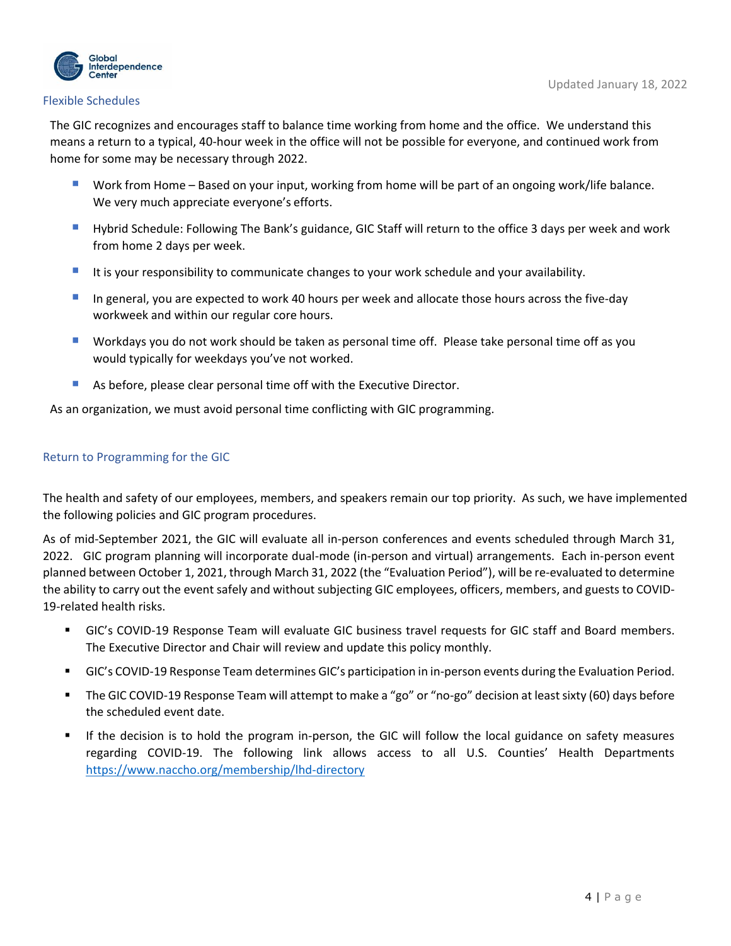

#### Flexible Schedules

The GIC recognizes and encourages staff to balance time working from home and the office. We understand this means a return to a typical, 40-hour week in the office will not be possible for everyone, and continued work from home for some may be necessary through 2022.

- Work from Home Based on your input, working from home will be part of an ongoing work/life balance. We very much appreciate everyone's efforts.
- Hybrid Schedule: Following The Bank's guidance, GIC Staff will return to the office 3 days per week and work from home 2 days per week.
- It is your responsibility to communicate changes to your work schedule and your availability.
- **If all a** in general, you are expected to work 40 hours per week and allocate those hours across the five-day workweek and within our regular core hours.
- Workdays you do not work should be taken as personal time off. Please take personal time off as you would typically for weekdays you've not worked.
- As before, please clear personal time off with the Executive Director.

As an organization, we must avoid personal time conflicting with GIC programming.

### <span id="page-3-0"></span>Return to Programming for the GIC

The health and safety of our employees, members, and speakers remain our top priority. As such, we have implemented the following policies and GIC program procedures.

As of mid-September 2021, the GIC will evaluate all in-person conferences and events scheduled through March 31, 2022. GIC program planning will incorporate dual-mode (in-person and virtual) arrangements. Each in-person event planned between October 1, 2021, through March 31, 2022 (the "Evaluation Period"), will be re-evaluated to determine the ability to carry out the event safely and without subjecting GIC employees, officers, members, and guests to COVID-19-related health risks.

- GIC's COVID-19 Response Team will evaluate GIC business travel requests for GIC staff and Board members. The Executive Director and Chair will review and update this policy monthly.
- GIC's COVID-19 Response Team determines GIC's participation in in-person events during the Evaluation Period.
- The GIC COVID-19 Response Team will attempt to make a "go" or "no-go" decision at least sixty (60) days before the scheduled event date.
- If the decision is to hold the program in-person, the GIC will follow the local guidance on safety measures regarding COVID-19. The following link allows access to all U.S. Counties' Health Departments <https://www.naccho.org/membership/lhd-directory>